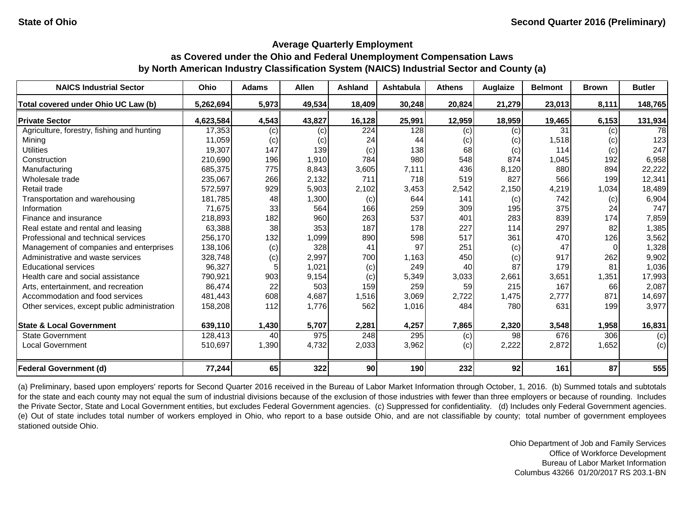| <b>NAICS Industrial Sector</b>               | Ohio      | <b>Adams</b> | <b>Allen</b> | <b>Ashland</b> | <b>Ashtabula</b> | <b>Athens</b> | Auglaize | <b>Belmont</b> | <b>Brown</b> | <b>Butler</b> |
|----------------------------------------------|-----------|--------------|--------------|----------------|------------------|---------------|----------|----------------|--------------|---------------|
| Total covered under Ohio UC Law (b)          | 5,262,694 | 5,973        | 49,534       | 18,409         | 30,248           | 20,824        | 21,279   | 23,013         | 8,111        | 148,765       |
| <b>Private Sector</b>                        | 4,623,584 | 4,543        | 43,827       | 16,128         | 25,991           | 12,959        | 18,959   | 19,465         | 6,153        | 131,934       |
| Agriculture, forestry, fishing and hunting   | 17,353    | (c)          | (c)          | 224            | 128              | (c)           | (c)      | 31             | (c)          | 78            |
| Mining                                       | 11,059    | (c)          | (c)          | 24             | 44               | (c)           | (c)      | 1,518          | (c)          | 123           |
| <b>Utilities</b>                             | 19,307    | 147          | 139          | (c)            | 138              | 68            | (c)      | 114            | (c)          | 247           |
| Construction                                 | 210,690   | 196          | 1,910        | 784            | 980              | 548           | 874      | 1,045          | 192          | 6,958         |
| Manufacturing                                | 685,375   | 775          | 8,843        | 3,605          | 7,111            | 436           | 8,120    | 880            | 894          | 22,222        |
| Wholesale trade                              | 235,067   | 266          | 2,132        | 711            | 718              | 519           | 827      | 566            | 199          | 12,341        |
| Retail trade                                 | 572,597   | 929          | 5,903        | 2,102          | 3,453            | 2,542         | 2,150    | 4,219          | 1,034        | 18,489        |
| Transportation and warehousing               | 181,785   | 48           | 1,300        | (c)            | 644              | 141           | (c)      | 742            | (c)          | 6,904         |
| Information                                  | 71,675    | 33           | 564          | 166            | 259              | 309           | 195      | 375            | 24           | 747           |
| Finance and insurance                        | 218,893   | 182          | 960          | 263            | 537              | 401           | 283      | 839            | 174          | 7,859         |
| Real estate and rental and leasing           | 63,388    | 38           | 353          | 187            | 178              | 227           | 114      | 297            | 82           | 1,385         |
| Professional and technical services          | 256,170   | 132          | 1,099        | 890            | 598              | 517           | 361      | 470            | 126          | 3,562         |
| Management of companies and enterprises      | 138,106   | (c)          | 328          | 41             | 97               | 251           | (c)      | 47             |              | 1,328         |
| Administrative and waste services            | 328,748   | (c)          | 2,997        | 700            | 1,163            | 450           | (c)      | 917            | 262          | 9,902         |
| <b>Educational services</b>                  | 96,327    |              | 1,021        | (c)            | 249              | 40            | 87       | 179            | 81           | 1,036         |
| Health care and social assistance            | 790,921   | 903          | 9,154        | (c)            | 5,349            | 3,033         | 2,661    | 3,651          | 1,351        | 17,993        |
| Arts, entertainment, and recreation          | 86,474    | 22           | 503          | 159            | 259              | 59            | 215      | 167            | 66           | 2,087         |
| Accommodation and food services              | 481,443   | 608          | 4,687        | 1,516          | 3,069            | 2,722         | 1,475    | 2,777          | 871          | 14,697        |
| Other services, except public administration | 158,208   | 112          | 1,776        | 562            | 1,016            | 484           | 780      | 631            | 199          | 3,977         |
| <b>State &amp; Local Government</b>          | 639,110   | 1,430        | 5,707        | 2,281          | 4,257            | 7,865         | 2,320    | 3,548          | 1,958        | 16,831        |
| <b>State Government</b>                      | 128,413   | 40           | 975          | 248            | 295              | (c)           | 98       | 676            | 306          | (c)           |
| <b>Local Government</b>                      | 510,697   | 1,390        | 4,732        | 2,033          | 3,962            | (c)           | 2,222    | 2,872          | 1,652        | (c)           |
| <b>Federal Government (d)</b>                | 77,244    | 65           | 322          | 90             | 190              | 232           | 92       | 161            | 87           | 555           |

(a) Preliminary, based upon employers' reports for Second Quarter 2016 received in the Bureau of Labor Market Information through October, 1, 2016. (b) Summed totals and subtotals for the state and each county may not equal the sum of industrial divisions because of the exclusion of those industries with fewer than three employers or because of rounding. Includes the Private Sector, State and Local Government entities, but excludes Federal Government agencies. (c) Suppressed for confidentiality. (d) Includes only Federal Government agencies. (e) Out of state includes total number of workers employed in Ohio, who report to a base outside Ohio, and are not classifiable by county; total number of government employees stationed outside Ohio.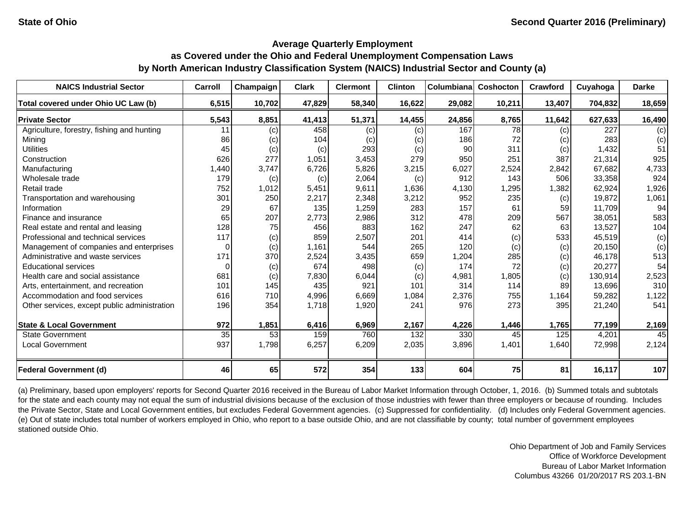| <b>NAICS Industrial Sector</b>               | Carroll | Champaign | <b>Clark</b> | <b>Clermont</b> | <b>Clinton</b> | Columbiana | Coshocton | <b>Crawford</b> | Cuyahoga | <b>Darke</b> |
|----------------------------------------------|---------|-----------|--------------|-----------------|----------------|------------|-----------|-----------------|----------|--------------|
| Total covered under Ohio UC Law (b)          | 6,515   | 10,702    | 47,829       | 58,340          | 16,622         | 29,082     | 10,211    | 13,407          | 704,832  | 18,659       |
| <b>Private Sector</b>                        | 5,543   | 8,851     | 41,413       | 51,371          | 14,455         | 24,856     | 8,765     | 11,642          | 627,633  | 16,490       |
| Agriculture, forestry, fishing and hunting   | 11      | (c)       | 458          | (c)             | (c)            | 167        | 78        | (c)             | 227      | (c)          |
| Mining                                       | 86      | (c)       | 104          | (c)             | (c)            | 186        | 72        | (c)             | 283      | (c)          |
| <b>Utilities</b>                             | 45      | (c)       | (c)          | 293             | (c)            | 90         | 311       | (c)             | 1,432    | 51           |
| Construction                                 | 626     | 277       | 1,051        | 3,453           | 279            | 950        | 251       | 387             | 21,314   | 925          |
| Manufacturing                                | 1,440   | 3,747     | 6,726        | 5,826           | 3,215          | 6,027      | 2,524     | 2,842           | 67,682   | 4,733        |
| Wholesale trade                              | 179     | (c)       | (c)          | 2,064           | (c)            | 912        | 143       | 506             | 33,358   | 924          |
| Retail trade                                 | 752     | 1,012     | 5,451        | 9,611           | 1,636          | 4,130      | 1,295     | 1,382           | 62,924   | 1,926        |
| Transportation and warehousing               | 301     | 250       | 2,217        | 2,348           | 3,212          | 952        | 235       | (c)             | 19,872   | 1,061        |
| Information                                  | 29      | 67        | 135          | 1,259           | 283            | 157        | 61        | 59              | 11.709   | 94           |
| Finance and insurance                        | 65      | 207       | 2,773        | 2,986           | 312            | 478        | 209       | 567             | 38,051   | 583          |
| Real estate and rental and leasing           | 128     | 75        | 456          | 883             | 162            | 247        | 62        | 63              | 13.527   | 104          |
| Professional and technical services          | 117     | (c)       | 859          | 2,507           | 201            | 414        | (c)       | 533             | 45,519   | (c)          |
| Management of companies and enterprises      | 0       | (c)       | 1,161        | 544             | 265            | 120        | (c)       | (c)             | 20,150   | (c)          |
| Administrative and waste services            | 171     | 370       | 2,524        | 3,435           | 659            | 1,204      | 285       | (c)             | 46,178   | 513          |
| <b>Educational services</b>                  | 0       | (c)       | 674          | 498             | (c)            | 174        | 72        | (c)             | 20,277   | 54           |
| Health care and social assistance            | 681     | (c)       | 7,830        | 6,044           | (c)            | 4,981      | 1,805     | (c)             | 130,914  | 2,523        |
| Arts, entertainment, and recreation          | 101     | 145       | 435          | 921             | 101            | 314        | 114       | 89              | 13,696   | 310          |
| Accommodation and food services              | 616     | 710       | 4,996        | 6,669           | 1,084          | 2,376      | 755       | 1,164           | 59,282   | 1,122        |
| Other services, except public administration | 196     | 354       | 1,718        | 1,920           | 241            | 976        | 273       | 395             | 21,240   | 541          |
| <b>State &amp; Local Government</b>          | 972     | 1,851     | 6,416        | 6,969           | 2,167          | 4,226      | 1,446     | 1,765           | 77,199   | 2,169        |
| <b>State Government</b>                      | 35      | 53        | 159          | 760             | 132            | 330        | 45        | 125             | 4,201    | 45           |
| <b>Local Government</b>                      | 937     | 1,798     | 6,257        | 6,209           | 2,035          | 3,896      | 1,401     | 1,640           | 72,998   | 2,124        |
| <b>Federal Government (d)</b>                | 46      | 65        | 572          | 354             | 133            | 604        | 75        | 81              | 16,117   | 107          |

(a) Preliminary, based upon employers' reports for Second Quarter 2016 received in the Bureau of Labor Market Information through October, 1, 2016. (b) Summed totals and subtotals for the state and each county may not equal the sum of industrial divisions because of the exclusion of those industries with fewer than three employers or because of rounding. Includes the Private Sector, State and Local Government entities, but excludes Federal Government agencies. (c) Suppressed for confidentiality. (d) Includes only Federal Government agencies. (e) Out of state includes total number of workers employed in Ohio, who report to a base outside Ohio, and are not classifiable by county; total number of government employees stationed outside Ohio.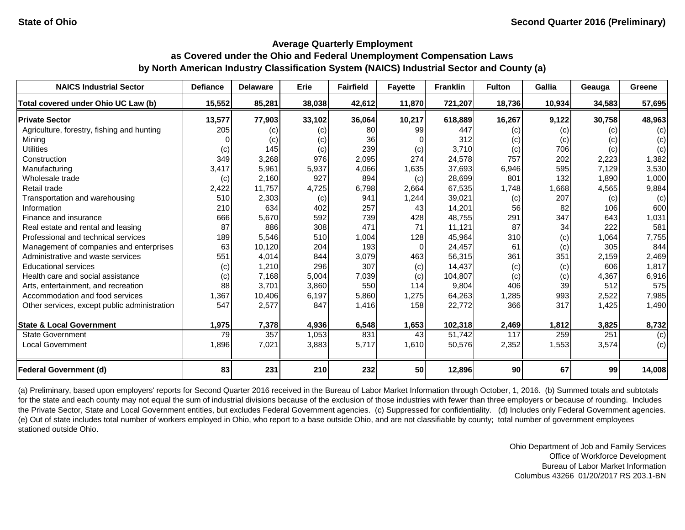| <b>NAICS Industrial Sector</b>               | <b>Defiance</b> | <b>Delaware</b> | Erie   | <b>Fairfield</b> | <b>Fayette</b> | <b>Franklin</b> | <b>Fulton</b> | <b>Gallia</b> | Geauga | Greene |
|----------------------------------------------|-----------------|-----------------|--------|------------------|----------------|-----------------|---------------|---------------|--------|--------|
| Total covered under Ohio UC Law (b)          | 15,552          | 85,281          | 38,038 | 42,612           | 11,870         | 721,207         | 18,736        | 10,934        | 34,583 | 57,695 |
| <b>Private Sector</b>                        | 13,577          | 77,903          | 33,102 | 36,064           | 10,217         | 618,889         | 16,267        | 9,122         | 30,758 | 48,963 |
| Agriculture, forestry, fishing and hunting   | 205             | (c)             | (c)    | 80               | 99             | 447             | (c)           | (c)           | (c)    | (c)    |
| Mining                                       |                 | (c)             | (c)    | 36               |                | 312             | (c)           | (c)           | (c)    | (c)    |
| <b>Utilities</b>                             | (c)             | 145             | (c)    | 239              | (c)            | 3,710           | (c)           | 706           | (c)    | (c)    |
| Construction                                 | 349             | 3,268           | 976    | 2,095            | 274            | 24,578          | 757           | 202           | 2,223  | 1,382  |
| Manufacturing                                | 3,417           | 5,961           | 5,937  | 4,066            | 1,635          | 37,693          | 6,946         | 595           | 7,129  | 3,530  |
| Wholesale trade                              | (c)             | 2,160           | 927    | 894              | (c)            | 28,699          | 801           | 132           | 1,890  | 1,000  |
| Retail trade                                 | 2,422           | 11,757          | 4,725  | 6,798            | 2,664          | 67,535          | 1,748         | 1,668         | 4,565  | 9,884  |
| Transportation and warehousing               | 510             | 2,303           | (c)    | 941              | 1,244          | 39,021          | (c)           | 207           | (c)    | (c)    |
| Information                                  | 210             | 634             | 402    | 257              | 43             | 14,201          | 56            | 82            | 106    | 600    |
| Finance and insurance                        | 666             | 5,670           | 592    | 739              | 428            | 48,755          | 291           | 347           | 643    | 1,031  |
| Real estate and rental and leasing           | 87              | 886             | 308    | 471              | 71             | 11,121          | 87            | 34            | 222    | 581    |
| Professional and technical services          | 189             | 5,546           | 510    | 1,004            | 128            | 45,964          | 310           | (c)           | 1,064  | 7,755  |
| Management of companies and enterprises      | 63              | 10,120          | 204    | 193              | 0              | 24,457          | 61            | (c)           | 305    | 844    |
| Administrative and waste services            | 551             | 4,014           | 844    | 3,079            | 463            | 56,315          | 361           | 351           | 2,159  | 2,469  |
| <b>Educational services</b>                  | (c)             | 1,210           | 296    | 307              | (c)            | 14,437          | (c)           | (c)           | 606    | 1,817  |
| Health care and social assistance            | (c)             | 7,168           | 5,004  | 7,039            | (c)            | 104,807         | (c)           | (c)           | 4,367  | 6,916  |
| Arts, entertainment, and recreation          | 88              | 3,701           | 3,860  | 550              | 114            | 9,804           | 406           | 39            | 512    | 575    |
| Accommodation and food services              | 1,367           | 10,406          | 6,197  | 5,860            | 1,275          | 64,263          | 1,285         | 993           | 2,522  | 7,985  |
| Other services, except public administration | 547             | 2,577           | 847    | 1,416            | 158            | 22,772          | 366           | 317           | 1,425  | 1,490  |
|                                              |                 |                 |        |                  |                |                 |               |               |        |        |
| <b>State &amp; Local Government</b>          | 1,975           | 7,378           | 4,936  | 6,548            | 1,653          | 102,318         | 2,469         | 1,812         | 3,825  | 8,732  |
| <b>State Government</b>                      | 79              | 357             | 1,053  | 831              | 43             | 51,742          | 117           | 259           | 251    | (c)    |
| <b>Local Government</b>                      | 1,896           | 7,021           | 3,883  | 5,717            | 1,610          | 50,576          | 2,352         | 1,553         | 3,574  | (c)    |
|                                              |                 |                 |        |                  |                |                 |               |               |        |        |
| <b>Federal Government (d)</b>                | 83              | 231             | 210    | 232              | 50             | 12,896          | 90            | 67            | 99     | 14,008 |

(a) Preliminary, based upon employers' reports for Second Quarter 2016 received in the Bureau of Labor Market Information through October, 1, 2016. (b) Summed totals and subtotals for the state and each county may not equal the sum of industrial divisions because of the exclusion of those industries with fewer than three employers or because of rounding. Includes the Private Sector, State and Local Government entities, but excludes Federal Government agencies. (c) Suppressed for confidentiality. (d) Includes only Federal Government agencies. (e) Out of state includes total number of workers employed in Ohio, who report to a base outside Ohio, and are not classifiable by county; total number of government employees stationed outside Ohio.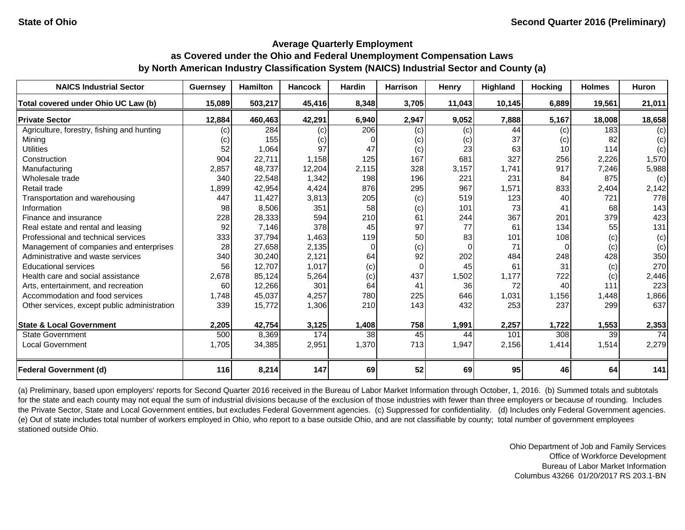| <b>NAICS Industrial Sector</b>               | <b>Guernsey</b> | <b>Hamilton</b> | <b>Hancock</b> | <b>Hardin</b> | <b>Harrison</b> | Henry    | Highland | <b>Hocking</b> | <b>Holmes</b> | <b>Huron</b>    |
|----------------------------------------------|-----------------|-----------------|----------------|---------------|-----------------|----------|----------|----------------|---------------|-----------------|
| Total covered under Ohio UC Law (b)          | 15,089          | 503,217         | 45,416         | 8,348         | 3,705           | 11,043   | 10,145   | 6,889          | 19,561        | 21,011          |
| <b>Private Sector</b>                        | 12,884          | 460,463         | 42,291         | 6,940         | 2,947           | 9,052    | 7,888    | 5,167          | 18,008        | 18,658          |
| Agriculture, forestry, fishing and hunting   | (c)             | 284             | (c)            | 206           | (c)             | (c)      | 44       | (c)            | 183           | (c)             |
| Mining                                       | (c)             | 155             | (c)            | O             | (c)             | (c)      | 37       | (c)            | 82            | (c)             |
| <b>Utilities</b>                             | 52              | 1,064           | 97             | 47            | (c)             | 23       | 63       | 10             | 114           | (c)             |
| Construction                                 | 904             | 22,711          | 1,158          | 125           | 167             | 681      | 327      | 256            | 2,226         | 1,570           |
| Manufacturing                                | 2,857           | 48,737          | 12,204         | 2,115         | 328             | 3,157    | 1,741    | 917            | 7,246         | 5,988           |
| Wholesale trade                              | 340             | 22,548          | 1,342          | 198           | 196             | 221      | 231      | 84             | 875           | (c)             |
| Retail trade                                 | 1,899           | 42,954          | 4,424          | 876           | 295             | 967      | 1,571    | 833            | 2,404         | 2,142           |
| Transportation and warehousing               | 447             | 11,427          | 3,813          | 205           | (c)             | 519      | 123      | 40             | 721           | 778             |
| Information                                  | 98              | 8,506           | 351            | 58            | (c)             | 101      | 73       | 41             | 68            | 143             |
| Finance and insurance                        | 228             | 28,333          | 594            | 210           | 61              | 244      | 367      | 201            | 379           | 423             |
| Real estate and rental and leasing           | 92              | 7,146           | 378            | 45            | 97              | 77       | 61       | 134            | 55            | 131             |
| Professional and technical services          | 333             | 37,794          | 1,463          | 119           | 50              | 83       | 101      | 108            | (c)           | (c)             |
| Management of companies and enterprises      | 28              | 27,658          | 2,135          | $\Omega$      | (c)             | $\Omega$ | 71       | $\Omega$       | (c)           | (c)             |
| Administrative and waste services            | 340             | 30,240          | 2,121          | 64            | 92              | 202      | 484      | 248            | 428           | 350             |
| <b>Educational services</b>                  | 56              | 12,707          | 1,017          | (c)           | 0               | 45       | 61       | 31             | (c)           | 270             |
| Health care and social assistance            | 2,678           | 85,124          | 5,264          | (c)           | 437             | 1,502    | 1,177    | 722            | (c)           | 2,446           |
| Arts, entertainment, and recreation          | 60              | 12,266          | 301            | 64            | 41              | 36       | 72       | 40             | 111           | 223             |
| Accommodation and food services              | 1.748           | 45,037          | 4,257          | 780           | 225             | 646      | 1,031    | 1,156          | 1,448         | 1,866           |
| Other services, except public administration | 339             | 15,772          | 1,306          | 210           | 143             | 432      | 253      | 237            | 299           | 637             |
| <b>State &amp; Local Government</b>          | 2,205           | 42,754          | 3,125          | 1,408         | 758             | 1,991    | 2,257    | 1,722          | 1,553         | 2,353           |
| <b>State Government</b>                      | 500             | 8,369           | 174            | 38            | 45              | 44       | 101      | 308            | 39            | $\overline{74}$ |
| <b>Local Government</b>                      | 1,705           | 34,385          | 2,951          | 1,370         | 713             | 1,947    | 2,156    | 1,414          | 1,514         | 2,279           |
| <b>Federal Government (d)</b>                | 116             | 8,214           | 147            | 69            | 52              | 69       | 95       | 46             | 64            | 141             |

(a) Preliminary, based upon employers' reports for Second Quarter 2016 received in the Bureau of Labor Market Information through October, 1, 2016. (b) Summed totals and subtotals for the state and each county may not equal the sum of industrial divisions because of the exclusion of those industries with fewer than three employers or because of rounding. Includes the Private Sector, State and Local Government entities, but excludes Federal Government agencies. (c) Suppressed for confidentiality. (d) Includes only Federal Government agencies. (e) Out of state includes total number of workers employed in Ohio, who report to a base outside Ohio, and are not classifiable by county; total number of government employees stationed outside Ohio.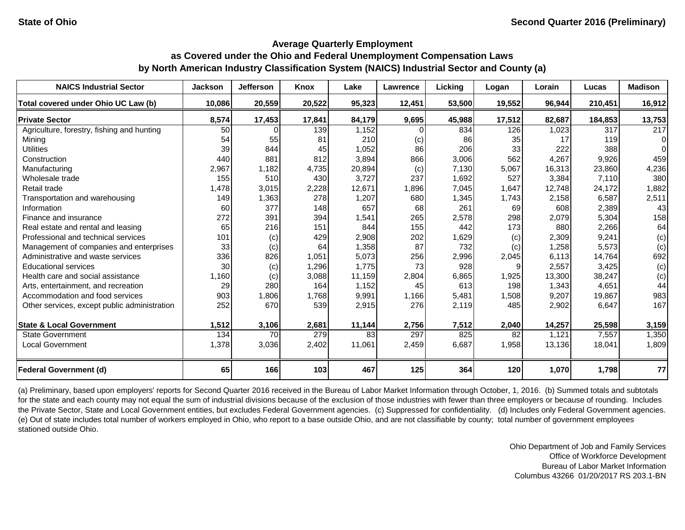| <b>NAICS Industrial Sector</b>               | <b>Jackson</b> | <b>Jefferson</b> | Knox   | Lake   | Lawrence | Licking | Logan  | Lorain | Lucas   | <b>Madison</b> |
|----------------------------------------------|----------------|------------------|--------|--------|----------|---------|--------|--------|---------|----------------|
| Total covered under Ohio UC Law (b)          | 10,086         | 20,559           | 20,522 | 95,323 | 12,451   | 53,500  | 19,552 | 96,944 | 210,451 | 16,912         |
| <b>Private Sector</b>                        | 8,574          | 17,453           | 17,841 | 84,179 | 9,695    | 45,988  | 17,512 | 82,687 | 184,853 | 13,753         |
| Agriculture, forestry, fishing and hunting   | 50             |                  | 139    | 1,152  |          | 834     | 126    | 1,023  | 317     | 217            |
| Mining                                       | 54             | 55               | 81     | 210    | (c)      | 86      | 35     | 17     | 119     | $\Omega$       |
| <b>Utilities</b>                             | 39             | 844              | 45     | 1,052  | 86       | 206     | 33     | 222    | 388     | $\Omega$       |
| Construction                                 | 440            | 881              | 812    | 3,894  | 866      | 3,006   | 562    | 4,267  | 9,926   | 459            |
| Manufacturing                                | 2,967          | 1,182            | 4,735  | 20,894 | (c)      | 7,130   | 5,067  | 16,313 | 23,860  | 4,236          |
| Wholesale trade                              | 155            | 510              | 430    | 3,727  | 237      | 1,692   | 527    | 3,384  | 7,110   | 380            |
| Retail trade                                 | 1,478          | 3,015            | 2,228  | 12,671 | 1,896    | 7,045   | 1,647  | 12,748 | 24,172  | 1,882          |
| Transportation and warehousing               | 149            | 1,363            | 278    | 1,207  | 680      | 1,345   | 1,743  | 2,158  | 6,587   | 2,511          |
| Information                                  | 60             | 377              | 148    | 657    | 68       | 261     | 69     | 608    | 2,389   | 43             |
| Finance and insurance                        | 272            | 391              | 394    | 1,541  | 265      | 2,578   | 298    | 2,079  | 5,304   | 158            |
| Real estate and rental and leasing           | 65             | 216              | 151    | 844    | 155      | 442     | 173    | 880    | 2,266   | 64             |
| Professional and technical services          | 101            | (c)              | 429    | 2,908  | 202      | 1,629   | (c)    | 2,309  | 9,241   | (c)            |
| Management of companies and enterprises      | 33             | (c)              | 64     | 1,358  | 87       | 732     | (c)    | 1,258  | 5,573   | (c)            |
| Administrative and waste services            | 336            | 826              | 1,051  | 5,073  | 256      | 2,996   | 2,045  | 6,113  | 14,764  | 692            |
| <b>Educational services</b>                  | 30             | (c)              | 1,296  | 1,775  | 73       | 928     | 9      | 2,557  | 3,425   | (c)            |
| Health care and social assistance            | 1,160          | (c)              | 3,088  | 11,159 | 2,804    | 6,865   | 1,925  | 13,300 | 38,247  | (c)            |
| Arts, entertainment, and recreation          | 29             | 280              | 164    | 1,152  | 45       | 613     | 198    | 1,343  | 4,651   | 44             |
| Accommodation and food services              | 903            | 1,806            | 1,768  | 9,991  | 1,166    | 5,481   | 1,508  | 9,207  | 19,867  | 983            |
| Other services, except public administration | 252            | 670              | 539    | 2,915  | 276      | 2,119   | 485    | 2,902  | 6,647   | 167            |
| <b>State &amp; Local Government</b>          | 1,512          | 3,106            | 2,681  | 11,144 | 2,756    | 7,512   | 2,040  | 14,257 | 25,598  | 3,159          |
| <b>State Government</b>                      | 134            | 70               | 279    | 83     | 297      | 825     | 82     | 1,121  | 7,557   | 1,350          |
| <b>Local Government</b>                      | 1,378          | 3,036            | 2,402  | 11,061 | 2,459    | 6,687   | 1,958  | 13,136 | 18,041  | 1,809          |
| <b>Federal Government (d)</b>                | 65             | 166              | 103    | 467    | 125      | 364     | 120    | 1,070  | 1,798   | 77             |

(a) Preliminary, based upon employers' reports for Second Quarter 2016 received in the Bureau of Labor Market Information through October, 1, 2016. (b) Summed totals and subtotals for the state and each county may not equal the sum of industrial divisions because of the exclusion of those industries with fewer than three employers or because of rounding. Includes the Private Sector, State and Local Government entities, but excludes Federal Government agencies. (c) Suppressed for confidentiality. (d) Includes only Federal Government agencies. (e) Out of state includes total number of workers employed in Ohio, who report to a base outside Ohio, and are not classifiable by county; total number of government employees stationed outside Ohio.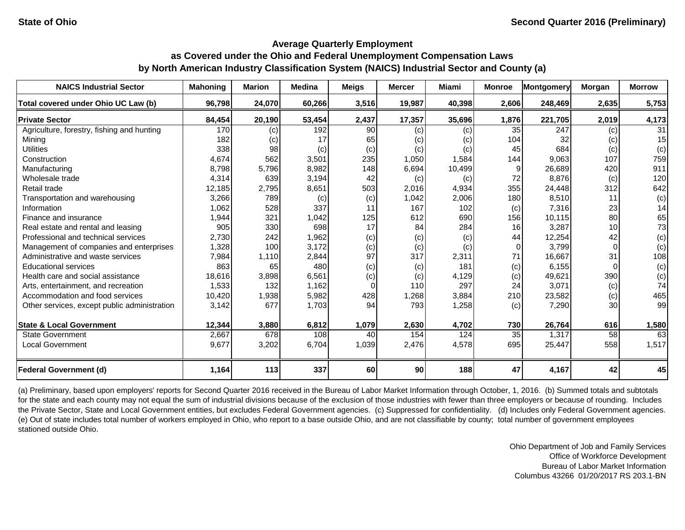| <b>NAICS Industrial Sector</b>               | <b>Mahoning</b> | <b>Marion</b> | <b>Medina</b> | <b>Meigs</b> | <b>Mercer</b> | <b>Miami</b> | <b>Monroe</b>   | <b>Montgomery</b> | Morgan   | <b>Morrow</b> |
|----------------------------------------------|-----------------|---------------|---------------|--------------|---------------|--------------|-----------------|-------------------|----------|---------------|
| Total covered under Ohio UC Law (b)          | 96,798          | 24,070        | 60,266        | 3,516        | 19,987        | 40,398       | 2,606           | 248,469           | 2,635    | 5,753         |
| <b>Private Sector</b>                        | 84,454          | 20,190        | 53,454        | 2,437        | 17,357        | 35,696       | 1,876           | 221,705           | 2,019    | 4,173         |
| Agriculture, forestry, fishing and hunting   | 170             | (c)           | 192           | 90           | (c)           | (c)          | 35              | 247               | (c)      | 31            |
| Mining                                       | 182             | (c)           | 17            | 65           | (c)           | (c)          | 104             | 32                | (c)      | 15            |
| <b>Utilities</b>                             | 338             | 98            | (c)           | (c)          | (c)           | (c)          | 45              | 684               | (c)      | (c)           |
| Construction                                 | 4,674           | 562           | 3,501         | 235          | 1,050         | 1,584        | 144             | 9.063             | 107      | 759           |
| Manufacturing                                | 8,798           | 5,796         | 8,982         | 148          | 6,694         | 10,499       | 9               | 26,689            | 420      | 911           |
| Wholesale trade                              | 4,314           | 639           | 3,194         | 42           | (c)           | (c)          | 72              | 8,876             | (c)      | 120           |
| Retail trade                                 | 12,185          | 2,795         | 8,651         | 503          | 2,016         | 4,934        | 355             | 24,448            | 312      | 642           |
| Transportation and warehousing               | 3,266           | 789           | (c)           | (c)          | 1,042         | 2,006        | 180             | 8,510             | 11       | (c)           |
| Information                                  | 1,062           | 528           | 337           | 11           | 167           | 102          | (c)             | 7,316             | 23       | 14            |
| Finance and insurance                        | 1,944           | 321           | 1,042         | 125          | 612           | 690          | 156             | 10,115            | 80       | 65            |
| Real estate and rental and leasing           | 905             | 330           | 698           | 17           | 84            | 284          | 16              | 3,287             | 10       | 73            |
| Professional and technical services          | 2,730           | 242           | 1,962         | (c)          | (c)           | (c)          | 44              | 12,254            | 42       | (c)           |
| Management of companies and enterprises      | 1,328           | 100           | 3,172         | (c)          | (c)           | (c)          | $\Omega$        | 3,799             | $\Omega$ | (c)           |
| Administrative and waste services            | 7,984           | 1,110         | 2,844         | 97           | 317           | 2,311        | 71              | 16,667            | 31       | 108           |
| <b>Educational services</b>                  | 863             | 65            | 480           | (c)          | (c)           | 181          | (c)             | 6,155             |          | (c)           |
| Health care and social assistance            | 18,616          | 3,898         | 6,561         | (c)          | (c)           | 4,129        | (c)             | 49,621            | 390      | (c)           |
| Arts, entertainment, and recreation          | 1,533           | 132           | 1,162         | $\Omega$     | 110           | 297          | 24              | 3,071             | (c)      | 74            |
| Accommodation and food services              | 10,420          | 1,938         | 5,982         | 428          | 1,268         | 3,884        | 210             | 23,582            | (c)      | 465           |
| Other services, except public administration | 3,142           | 677           | 1,703         | 94           | 793           | 1,258        | (c)             | 7,290             | 30       | 99            |
| <b>State &amp; Local Government</b>          | 12,344          | 3,880         | 6,812         | 1,079        | 2,630         | 4,702        | 730             | 26,764            | 616      | 1,580         |
| <b>State Government</b>                      | 2,667           | 678           | 108           | 40           | 154           | 124          | $\overline{35}$ | 1,317             | 58       | 63            |
| <b>Local Government</b>                      | 9,677           | 3,202         | 6,704         | 1,039        | 2,476         | 4,578        | 695             | 25,447            | 558      | 1,517         |
| <b>Federal Government (d)</b>                | 1,164           | 113           | 337           | 60           | 90            | 188          | 47              | 4,167             | 42       | 45            |

(a) Preliminary, based upon employers' reports for Second Quarter 2016 received in the Bureau of Labor Market Information through October, 1, 2016. (b) Summed totals and subtotals for the state and each county may not equal the sum of industrial divisions because of the exclusion of those industries with fewer than three employers or because of rounding. Includes the Private Sector, State and Local Government entities, but excludes Federal Government agencies. (c) Suppressed for confidentiality. (d) Includes only Federal Government agencies. (e) Out of state includes total number of workers employed in Ohio, who report to a base outside Ohio, and are not classifiable by county; total number of government employees stationed outside Ohio.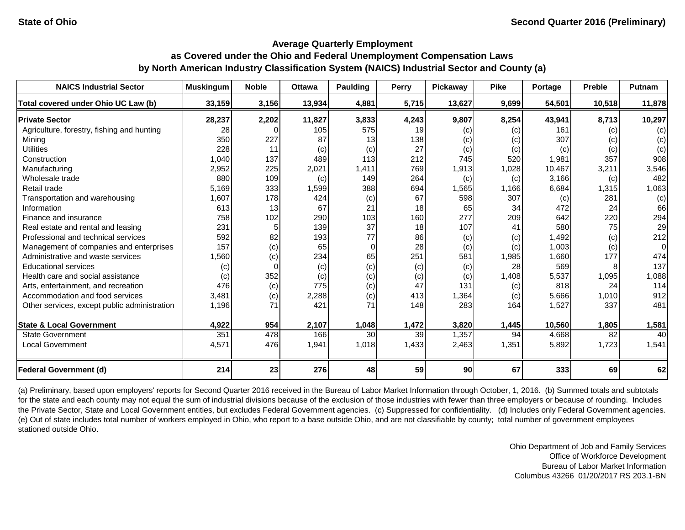| <b>NAICS Industrial Sector</b>               | <b>Muskingum</b> | <b>Noble</b> | <b>Ottawa</b> | <b>Paulding</b> | <b>Perry</b> | Pickaway | <b>Pike</b> | Portage | <b>Preble</b> | Putnam   |
|----------------------------------------------|------------------|--------------|---------------|-----------------|--------------|----------|-------------|---------|---------------|----------|
| Total covered under Ohio UC Law (b)          | 33,159           | 3,156        | 13,934        | 4,881           | 5,715        | 13,627   | 9,699       | 54,501  | 10,518        | 11,878   |
| <b>Private Sector</b>                        | 28,237           | 2,202        | 11,827        | 3,833           | 4,243        | 9,807    | 8,254       | 43,941  | 8,713         | 10,297   |
| Agriculture, forestry, fishing and hunting   | 28               | $\Omega$     | 105           | 575             | 19           | (c)      | (c)         | 161     | (c)           | (c)      |
| Mining                                       | 350              | 227          | 87            | 13              | 138          | (c)      | (c)         | 307     | (c)           | (c)      |
| <b>Utilities</b>                             | 228              | 11           | (c)           | (c)             | 27           | (c)      | (c)         | (c)     | (c)           | (c)      |
| Construction                                 | 1,040            | 137          | 489           | 113             | 212          | 745      | 520         | 1,981   | 357           | 908      |
| Manufacturing                                | 2,952            | 225          | 2,021         | 1,411           | 769          | 1,913    | 1,028       | 10,467  | 3,211         | 3,546    |
| Wholesale trade                              | 880              | 109          | (c)           | 149             | 264          | (c)      | (c)         | 3,166   | (c)           | 482      |
| Retail trade                                 | 5,169            | 333          | 1,599         | 388             | 694          | 1,565    | 1,166       | 6,684   | 1,315         | 1,063    |
| Transportation and warehousing               | 1,607            | 178          | 424           | (c)             | 67           | 598      | 307         | (c)     | 281           | (c)      |
| Information                                  | 613              | 13           | 67            | 21              | 18           | 65       | 34          | 472     | 24            | 66       |
| Finance and insurance                        | 758              | 102          | 290           | 103             | 160          | 277      | 209         | 642     | 220           | 294      |
| Real estate and rental and leasing           | 231              |              | 139           | 37              | 18           | 107      | 41          | 580     | 75            | 29       |
| Professional and technical services          | 592              | 82           | 193           | 77              | 86           | (c)      | (c)         | 1,492   | (c)           | 212      |
| Management of companies and enterprises      | 157              | (c)          | 65            | $\overline{0}$  | 28           | (c)      | (c)         | 1,003   | (c)           | $\Omega$ |
| Administrative and waste services            | 1,560            | (c)          | 234           | 65              | 251          | 581      | 1,985       | 1,660   | 177           | 474      |
| <b>Educational services</b>                  | (c)              | 0            | (c)           | (c)             | (c)          | (c)      | 28          | 569     |               | 137      |
| Health care and social assistance            | (c)              | 352          | (c)           | (c)             | (c)          | (c)      | 1,408       | 5,537   | 1,095         | 1,088    |
| Arts, entertainment, and recreation          | 476              | (c)          | 775           | (c)             | 47           | 131      | (c)         | 818     | 24            | 114      |
| Accommodation and food services              | 3,481            | (c)          | 2,288         | (c)             | 413          | 1,364    | (c)         | 5,666   | 1,010         | 912      |
| Other services, except public administration | 1,196            | 71           | 421           | 71              | 148          | 283      | 164         | 1,527   | 337           | 481      |
| <b>State &amp; Local Government</b>          | 4,922            | 954          | 2,107         | 1,048           | 1,472        | 3,820    | 1,445       | 10,560  | 1,805         | 1,581    |
| <b>State Government</b>                      | 351              | 478          | 166           | 30              | 39           | 1,357    | 94          | 4,668   | 82            | 40       |
| <b>Local Government</b>                      | 4,571            | 476          | 1,941         | 1,018           | 1,433        | 2,463    | 1,351       | 5,892   | 1,723         | 1,541    |
| <b>Federal Government (d)</b>                | 214              | 23           | 276           | 48              | 59           | 90       | 67          | 333     | 69            | 62       |

(a) Preliminary, based upon employers' reports for Second Quarter 2016 received in the Bureau of Labor Market Information through October, 1, 2016. (b) Summed totals and subtotals for the state and each county may not equal the sum of industrial divisions because of the exclusion of those industries with fewer than three employers or because of rounding. Includes the Private Sector, State and Local Government entities, but excludes Federal Government agencies. (c) Suppressed for confidentiality. (d) Includes only Federal Government agencies. (e) Out of state includes total number of workers employed in Ohio, who report to a base outside Ohio, and are not classifiable by county; total number of government employees stationed outside Ohio.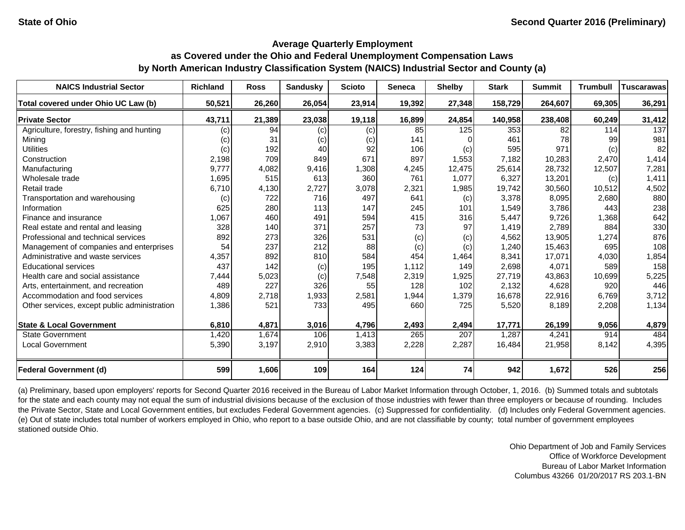| <b>NAICS Industrial Sector</b>               | <b>Richland</b> | <b>Ross</b> | <b>Sandusky</b> | <b>Scioto</b> | <b>Seneca</b> | <b>Shelby</b> | <b>Stark</b> | <b>Summit</b> | <b>Trumbull</b> | <b>Tuscarawas</b> |
|----------------------------------------------|-----------------|-------------|-----------------|---------------|---------------|---------------|--------------|---------------|-----------------|-------------------|
| Total covered under Ohio UC Law (b)          | 50,521          | 26,260      | 26,054          | 23,914        | 19,392        | 27,348        | 158,729      | 264,607       | 69,305          | 36,291            |
| <b>Private Sector</b>                        | 43,711          | 21,389      | 23,038          | 19,118        | 16,899        | 24,854        | 140,958      | 238,408       | 60,249          | 31,412            |
| Agriculture, forestry, fishing and hunting   | (c)             | 94          | (c)             | (c)           | 85            | 125           | 353          | 82            | 114             | 137               |
| Mining                                       | (c)             | 31          | (c)             | (c)           | 141           | $\Omega$      | 461          | 78            | 99              | 981               |
| <b>Utilities</b>                             | (c)             | 192         | 40              | 92            | 106           | (c)           | 595          | 971           | (c)             | 82                |
| Construction                                 | 2,198           | 709         | 849             | 671           | 897           | 1,553         | 7,182        | 10,283        | 2,470           | 1,414             |
| Manufacturing                                | 9,777           | 4,082       | 9,416           | 1,308         | 4,245         | 12,475        | 25,614       | 28,732        | 12,507          | 7,281             |
| Wholesale trade                              | 1,695           | 515         | 613             | 360           | 761           | 1,077         | 6,327        | 13,201        | (c)             | 1,411             |
| Retail trade                                 | 6,710           | 4,130       | 2,727           | 3,078         | 2,321         | 1,985         | 19,742       | 30,560        | 10,512          | 4,502             |
| Transportation and warehousing               | (c)             | 722         | 716             | 497           | 641           | (c)           | 3,378        | 8,095         | 2,680           | 880               |
| Information                                  | 625             | 280         | 113             | 147           | 245           | 101           | 1,549        | 3,786         | 443             | 238               |
| Finance and insurance                        | 1,067           | 460         | 491             | 594           | 415           | 316           | 5,447        | 9,726         | 1,368           | 642               |
| Real estate and rental and leasing           | 328             | 140         | 371             | 257           | 73            | 97            | 1,419        | 2,789         | 884             | 330               |
| Professional and technical services          | 892             | 273         | 326             | 531           | (c)           | (c)           | 4,562        | 13,905        | 1,274           | 876               |
| Management of companies and enterprises      | 54              | 237         | 212             | 88            | (c)           | (c)           | 1,240        | 15,463        | 695             | 108               |
| Administrative and waste services            | 4,357           | 892         | 810             | 584           | 454           | 1,464         | 8,341        | 17,071        | 4,030           | 1,854             |
| <b>Educational services</b>                  | 437             | 142         | (c)             | 195           | 1,112         | 149           | 2,698        | 4,071         | 589             | 158               |
| Health care and social assistance            | 7,444           | 5,023       | (c)             | 7,548         | 2,319         | 1,925         | 27,719       | 43,863        | 10,699          | 5,225             |
| Arts, entertainment, and recreation          | 489             | 227         | 326             | 55            | 128           | 102           | 2,132        | 4,628         | 920             | 446               |
| Accommodation and food services              | 4,809           | 2,718       | 1,933           | 2,581         | 1,944         | 1,379         | 16,678       | 22,916        | 6,769           | 3,712             |
| Other services, except public administration | 1,386           | 521         | 733             | 495           | 660           | 725           | 5,520        | 8,189         | 2,208           | 1,134             |
|                                              |                 |             |                 |               |               |               |              |               |                 |                   |
| <b>State &amp; Local Government</b>          | 6,810           | 4,871       | 3,016           | 4,796         | 2,493         | 2,494         | 17,771       | 26,199        | 9,056           | 4,879             |
| <b>State Government</b>                      | 1,420           | 1,674       | 106             | 1,413         | 265           | 207           | 1,287        | 4,241         | 914             | 484               |
| <b>Local Government</b>                      | 5,390           | 3,197       | 2,910           | 3,383         | 2,228         | 2,287         | 16,484       | 21,958        | 8,142           | 4,395             |
| <b>Federal Government (d)</b>                | 599             | 1,606       | 109             | 164           | 124           | 74            | 942          | 1,672         | 526             | 256               |

(a) Preliminary, based upon employers' reports for Second Quarter 2016 received in the Bureau of Labor Market Information through October, 1, 2016. (b) Summed totals and subtotals for the state and each county may not equal the sum of industrial divisions because of the exclusion of those industries with fewer than three employers or because of rounding. Includes the Private Sector, State and Local Government entities, but excludes Federal Government agencies. (c) Suppressed for confidentiality. (d) Includes only Federal Government agencies. (e) Out of state includes total number of workers employed in Ohio, who report to a base outside Ohio, and are not classifiable by county; total number of government employees stationed outside Ohio.